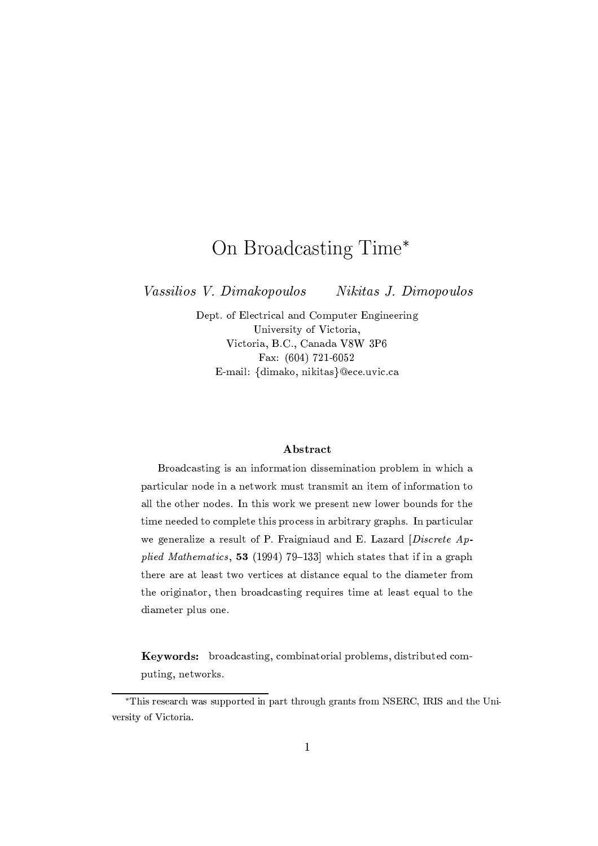# On Broadcasting Time\*

Vassilios V. Dimakopoulos Nikitas J. Dimopoulos

> Dept. of Electrical and Computer Engineering University of Victoria, Victoria, B.C., Canada V8W 3P6 Fax: (604) 721-6052 E-mail: {dimako, nikitas}@ece.uvic.ca

## Abstract

Broadcasting is an information dissemination problem in which a particular node in a network must transmit an item of information to all the other nodes. In this work we present new lower bounds for the time needed to complete this process in arbitrary graphs. In particular we generalize a result of P. Fraigniaud and E. Lazard Discrete Applied Mathematics, 53 (1994) 79-133 which states that if in a graph there are at least two vertices at distance equal to the diameter from the originator, then broadcasting requires time at least equal to the diameter plus one.

Keywords: broadcasting, combinatorial problems, distributed computing, networks.

<sup>\*</sup>This research was supported in part through grants from NSERC, IRIS and the University of Victoria.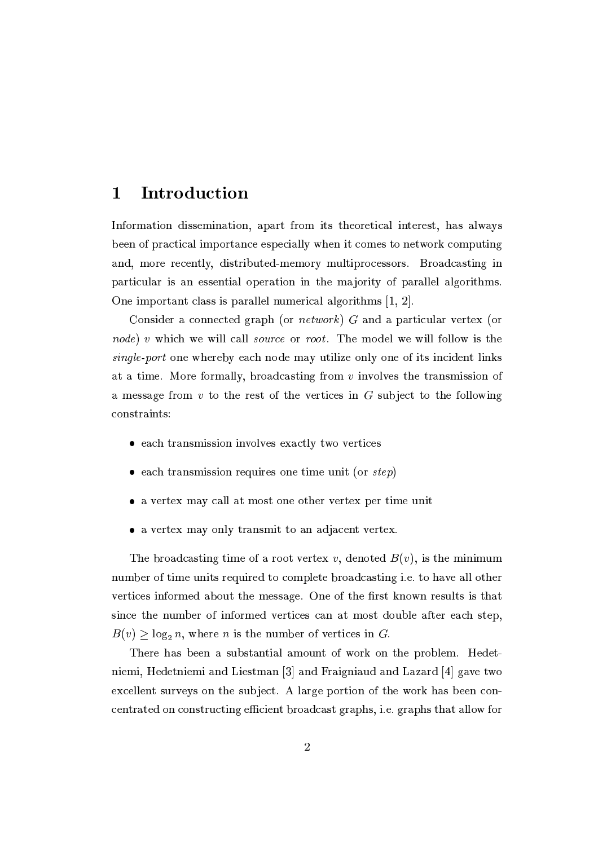### Introduction  $\mathbf 1$

Information dissemination, apart from its theoretical interest, has always been of practical importance especially when it comes to network computing and, more recently, distributed-memory multiprocessors. Broadcasting in particular is an essential operation in the majority of parallel algorithms. One important class is parallel numerical algorithms  $[1, 2]$ .

Consider a connected graph (or *network*)  $G$  and a particular vertex (or *node*) v which we will call *source* or *root*. The model we will follow is the *single-port* one whereby each node may utilize only one of its incident links at a time. More formally, broadcasting from  $v$  involves the transmission of a message from  $v$  to the rest of the vertices in G subject to the following constraints:

- each transmission involves exactly two vertices
- each transmission requires one time unit (or  $step$ )
- a vertex may call at most one other vertex per time unit
- a vertex may only transmit to an adjacent vertex.

The broadcasting time of a root vertex v, denoted  $B(v)$ , is the minimum number of time units required to complete broadcasting *i.e.* to have all other vertices informed about the message. One of the first known results is that since the number of informed vertices can at most double after each step,  $B(v) \geq \log_2 n$ , where *n* is the number of vertices in G.

There has been a substantial amount of work on the problem. Hedetniemi, Hedetniemi and Liestman [3] and Fraigniaud and Lazard [4] gave two excellent surveys on the subject. A large portion of the work has been concentrated on constructing efficient broadcast graphs, *i.e.* graphs that allow for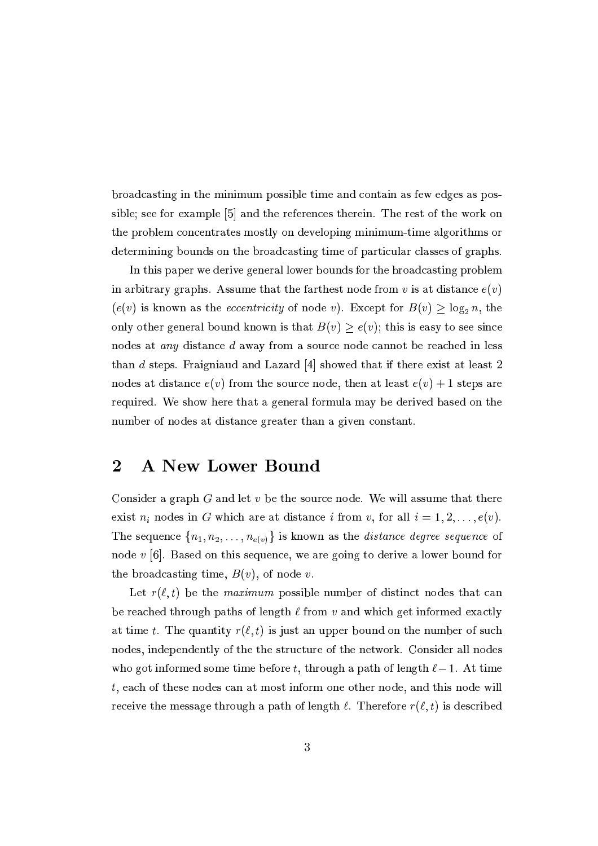broadcasting in the minimum possible time and contain as few edges as possible; see for example [5] and the references therein. The rest of the work on the problem concentrates mostly on developing minimum-time algorithms or determining bounds on the broadcasting time of particular classes of graphs.

In this paper we derive general lower bounds for the broadcasting problem in arbitrary graphs. Assume that the farthest node from v is at distance  $e(v)$  $(e(v))$  is known as the *eccentricity* of node v). Except for  $B(v) \ge \log_2 n$ , the only other general bound known is that  $B(v) \geq e(v)$ ; this is easy to see since nodes at *any* distance d away from a source node cannot be reached in less than d steps. Fraigniaud and Lazard [4] showed that if there exist at least 2 nodes at distance  $e(v)$  from the source node, then at least  $e(v) + 1$  steps are required. We show here that a general formula may be derived based on the number of nodes at distance greater than a given constant.

### **A New Lower Bound**  $\overline{2}$

Consider a graph  $G$  and let  $v$  be the source node. We will assume that there exist  $n_i$  nodes in G which are at distance i from v, for all  $i = 1, 2, ..., e(v)$ . The sequence  $\{n_1, n_2, \ldots, n_{e(v)}\}$  is known as the *distance degree sequence* of node v [6]. Based on this sequence, we are going to derive a lower bound for the broadcasting time,  $B(v)$ , of node v.

Let  $r(\ell, t)$  be the *maximum* possible number of distinct nodes that can be reached through paths of length  $\ell$  from v and which get informed exactly at time t. The quantity  $r(\ell,t)$  is just an upper bound on the number of such nodes, independently of the the structure of the network. Consider all nodes who got informed some time before t, through a path of length  $\ell-1$ . At time t, each of these nodes can at most inform one other node, and this node will receive the message through a path of length  $\ell$ . Therefore  $r(\ell,t)$  is described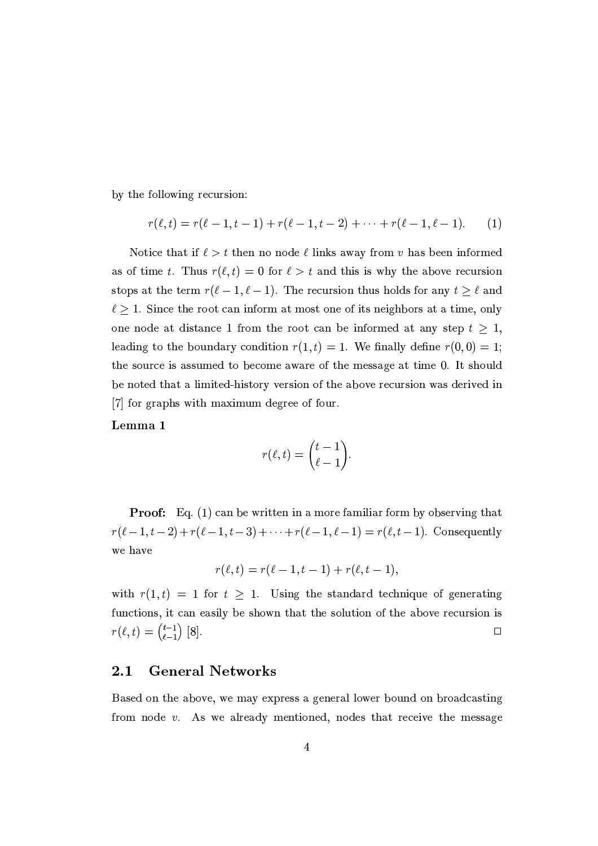by the following recursion:

$$
r(\ell, t) = r(\ell - 1, t - 1) + r(\ell - 1, t - 2) + \cdots + r(\ell - 1, \ell - 1). \tag{1}
$$

Notice that if  $\ell > t$  then no node  $\ell$  links away from v has been informed as of time t. Thus  $r(\ell, t) = 0$  for  $\ell > t$  and this is why the above recursion stops at the term  $r(\ell-1,\ell-1)$ . The recursion thus holds for any  $t \geq \ell$  and  $\ell \geq 1$ . Since the root can inform at most one of its neighbors at a time, only one node at distance 1 from the root can be informed at any step  $t \geq 1$ , leading to the boundary condition  $r(1,t) = 1$ . We finally define  $r(0,0) = 1$ ; the source is assumed to become aware of the message at time 0. It should be noted that a limited-history version of the above recursion was derived in [7] for graphs with maximum degree of four.

Lemma 1

$$
r(\ell,t) = \binom{t-1}{\ell-1}.
$$

**Proof:** Eq. (1) can be written in a more familiar form by observing that  $r(\ell-1, t-2) + r(\ell-1, t-3) + \cdots + r(\ell-1, \ell-1) = r(\ell, t-1)$ . Consequently we have

$$
r(\ell,t) = r(\ell-1,t-1) + r(\ell,t-1).
$$

with  $r(1,t) = 1$  for  $t \ge 1$ . Using the standard technique of generating functions, it can easily be shown that the solution of the above recursion is  $r(\ell,t) = \binom{t-1}{\ell-1}$  [8].  $\Box$ 

#### $2.1$ **General Networks**

Based on the above, we may express a general lower bound on broadcasting from node v. As we already mentioned, nodes that receive the message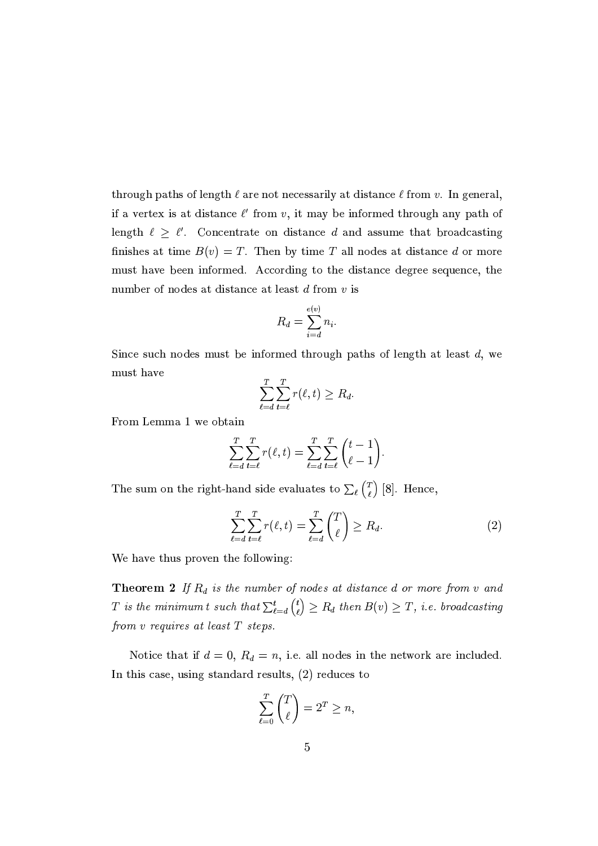through paths of length  $\ell$  are not necessarily at distance  $\ell$  from  $v$ . In general, if a vertex is at distance  $\ell'$  from v, it may be informed through any path of length  $\ell \geq \ell'$ . Concentrate on distance d and assume that broadcasting finishes at time  $B(v) = T$ . Then by time T all nodes at distance d or more must have been informed. According to the distance degree sequence, the number of nodes at distance at least  $d$  from  $v$  is

$$
R_d = \sum_{i=d}^{e(v)} n_i.
$$

Since such nodes must be informed through paths of length at least  $d$ , we must have

$$
\sum_{\ell=d}^{T} \sum_{t=\ell}^{T} r(\ell, t) \geq R_d
$$

From Lemma 1 we obtain

$$
\sum_{\ell=d}^{T} \sum_{t=\ell}^{T} r(\ell, t) = \sum_{\ell=d}^{T} \sum_{t=\ell}^{T} {t-1 \choose \ell-1}.
$$

The sum on the right-hand side evaluates to  $\sum_{\ell} {T \choose \ell}$  [8]. Hence,

$$
\sum_{\ell=d}^{T} \sum_{t=\ell}^{T} r(\ell, t) = \sum_{\ell=d}^{T} \binom{T}{\ell} \ge R_d.
$$
 (2)

We have thus proven the following:

**Theorem 2** If  $R_d$  is the number of nodes at distance  $d$  or more from  $v$  and T is the minimum t such that  $\sum_{\ell=d}^{t} {t \choose \ell} \geq R_d$  then  $B(v) \geq T$ , i.e. broadcasting from  $v$  requires at least  $T$  steps.

Notice that if  $d = 0$ ,  $R_d = n$ , i.e. all nodes in the network are included. In this case, using standard results,  $(2)$  reduces to

$$
\sum_{\ell=0}^{T} \binom{T}{\ell} = 2^{T} \ge n,
$$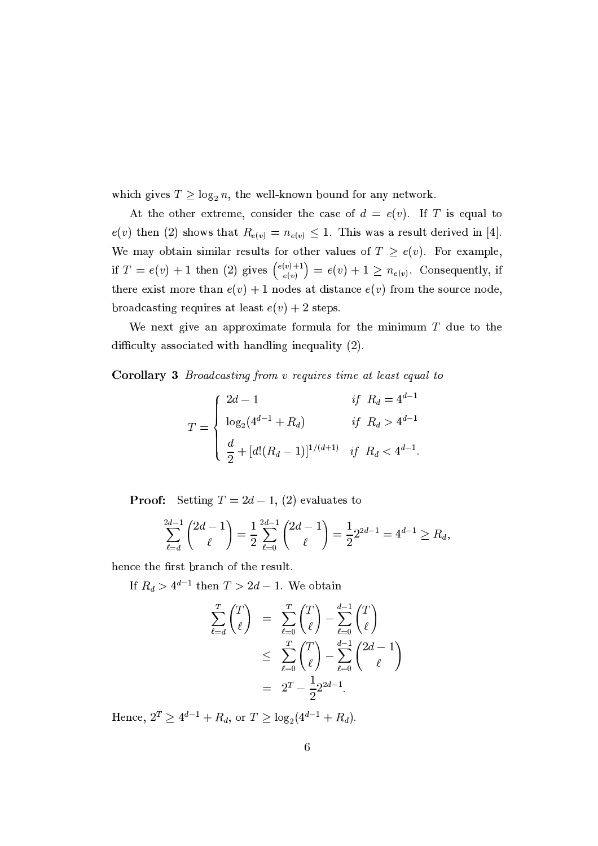which gives  $T \geq \log_2 n$ , the well-known bound for any network.

At the other extreme, consider the case of  $d = e(v)$ . If T is equal to  $e(v)$  then (2) shows that  $R_{e(v)} = n_{e(v)} \leq 1$ . This was a result derived in [4]. We may obtain similar results for other values of  $T \geq e(v)$ . For example, if  $T = e(v) + 1$  then (2) gives  $\binom{e(v)+1}{e(v)} = e(v) + 1 \ge n_{e(v)}$ . Consequently, if there exist more than  $e(v) + 1$  nodes at distance  $e(v)$  from the source node, broadcasting requires at least  $e(v) + 2$  steps.

We next give an approximate formula for the minimum  $T$  due to the difficulty associated with handling inequality (2).

**Corollary 3** Broadcasting from v requires time at least equal to

$$
T = \begin{cases} 2d - 1 & \text{if } R_d = 4^{d-1} \\ \log_2(4^{d-1} + R_d) & \text{if } R_d > 4^{d-1} \\ \frac{d}{2} + [d!(R_d - 1)]^{1/(d+1)} & \text{if } R_d < 4^{d-1}. \end{cases}
$$

**Proof:** Setting  $T = 2d - 1$ , (2) evaluates to

$$
\sum_{\ell=d}^{2d-1} \binom{2d-1}{\ell} = \frac{1}{2} \sum_{\ell=0}^{2d-1} \binom{2d-1}{\ell} = \frac{1}{2} 2^{2d-1} = 4^{d-1} \ge R_d,
$$

hence the first branch of the result.

If  $R_d > 4^{d-1}$  then  $T > 2d - 1$ . We obtain

$$
\sum_{\ell=d}^{T} {T \choose \ell} = \sum_{\ell=0}^{T} {T \choose \ell} - \sum_{\ell=0}^{d-1} {T \choose \ell} \\
\leq \sum_{\ell=0}^{T} {T \choose \ell} - \sum_{\ell=0}^{d-1} {2d-1 \choose \ell} \\
= 2^{T} - \frac{1}{2} 2^{2d-1}.
$$

Hence,  $2^T \ge 4^{d-1} + R_d$ , or  $T \ge \log_2(4^{d-1} + R_d)$ .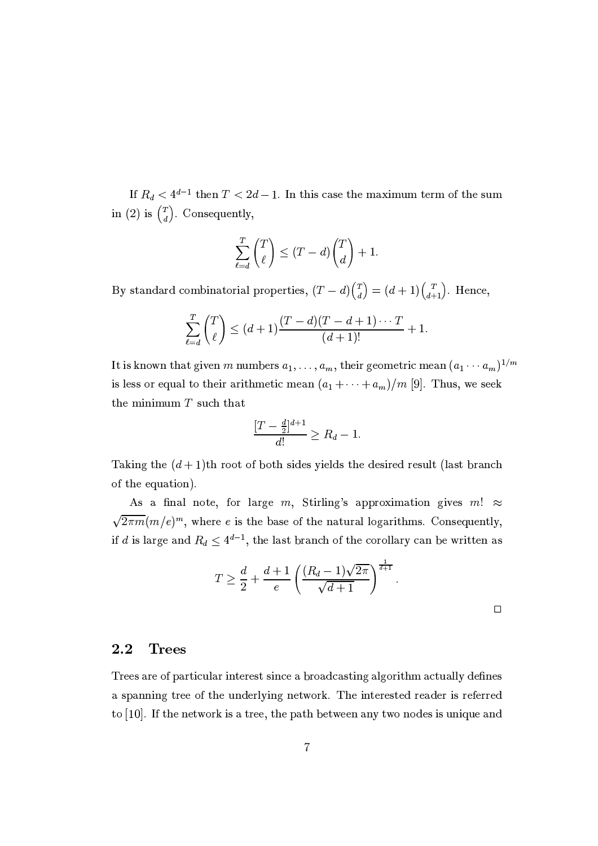If  $R_d < 4^{d-1}$  then  $T < 2d - 1$ . In this case the maximum term of the sum in (2) is  $\binom{T}{d}$ . Consequently,

$$
\sum_{\ell=d}^{T} \binom{T}{\ell} \le (T-d) \binom{T}{d} + 1.
$$

By standard combinatorial properties,  $(T - d) \begin{pmatrix} T \\ d \end{pmatrix} = (d + 1) \begin{pmatrix} T \\ d+1 \end{pmatrix}$ . Hence,

$$
\sum_{\ell=d}^{T} {T \choose \ell} \le (d+1) \frac{(T-d)(T-d+1)\cdots T}{(d+1)!} + 1.
$$

It is known that given m numbers  $a_1, \ldots, a_m$ , their geometric mean  $(a_1 \cdots a_m)^{1/m}$ is less or equal to their arithmetic mean  $(a_1 + \cdots + a_m)/m$  [9]. Thus, we seek the minimum  $T$  such that

$$
\frac{[T-\frac{d}{2}]^{d+1}}{d!} \ge R_d - 1.
$$

Taking the  $(d+1)$ th root of both sides yields the desired result (last branch of the equation).

As a final note, for large m, Stirling's approximation gives m!  $\approx$  $\sqrt{2\pi m}(m/e)^m$ , where e is the base of the natural logarithms. Consequently, if d is large and  $R_d \leq 4^{d-1}$ , the last branch of the corollary can be written as

$$
T \ge \frac{d}{2} + \frac{d+1}{e} \left( \frac{(R_d - 1)\sqrt{2\pi}}{\sqrt{d+1}} \right)^{\frac{1}{d+1}}.
$$

 $\Box$ 

#### $2.2$ **Trees**

Trees are of particular interest since a broadcasting algorithm actually defines a spanning tree of the underlying network. The interested reader is referred to [10]. If the network is a tree, the path between any two nodes is unique and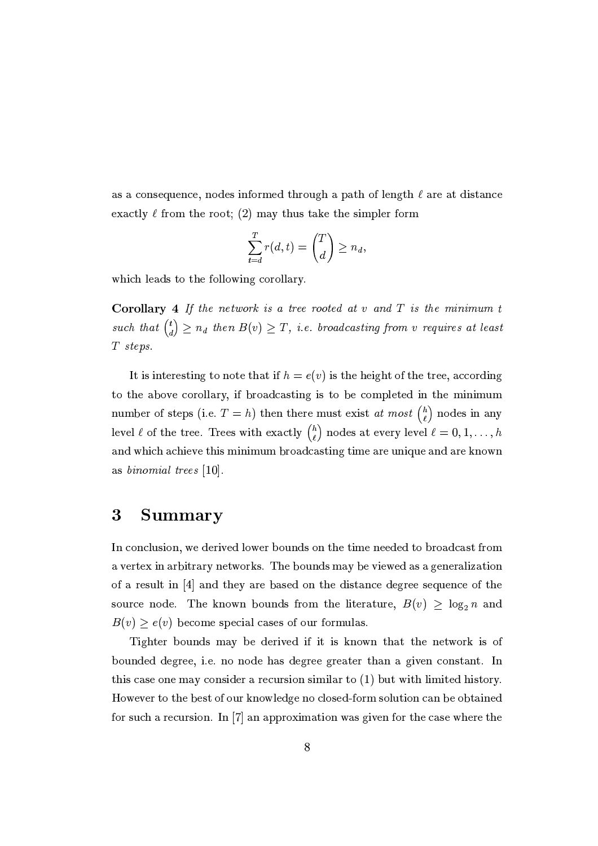as a consequence, nodes informed through a path of length  $\ell$  are at distance exactly  $\ell$  from the root; (2) may thus take the simpler form

$$
\sum_{t=d}^{T} r(d,t) = \binom{T}{d} \geq n_d,
$$

which leads to the following corollary.

**Corollary** 4 If the network is a tree rooted at  $v$  and  $T$  is the minimum  $t$ such that  $\binom{t}{d} \geq n_d$  then  $B(v) \geq T$ , i.e. broadcasting from v requires at least  $T$  steps.

It is interesting to note that if  $h = e(v)$  is the height of the tree, according to the above corollary, if broadcasting is to be completed in the minimum number of steps (i.e.  $T = h$ ) then there must exist at most  $\binom{h}{\ell}$  nodes in any level  $\ell$  of the tree. Trees with exactly  $\binom{h}{\ell}$  nodes at every level  $\ell = 0, 1, \ldots, h$ and which achieve this minimum broadcasting time are unique and are known as binomial trees  $[10]$ .

### 3 **Summary**

In conclusion, we derived lower bounds on the time needed to broadcast from a vertex in arbitrary networks. The bounds may be viewed as a generalization of a result in [4] and they are based on the distance degree sequence of the source node. The known bounds from the literature,  $B(v) \ge \log_2 n$  and  $B(v) \geq e(v)$  become special cases of our formulas.

Tighter bounds may be derived if it is known that the network is of bounded degree, i.e. no node has degree greater than a given constant. In this case one may consider a recursion similar to (1) but with limited history. However to the best of our knowledge no closed-form solution can be obtained for such a recursion. In  $[7]$  an approximation was given for the case where the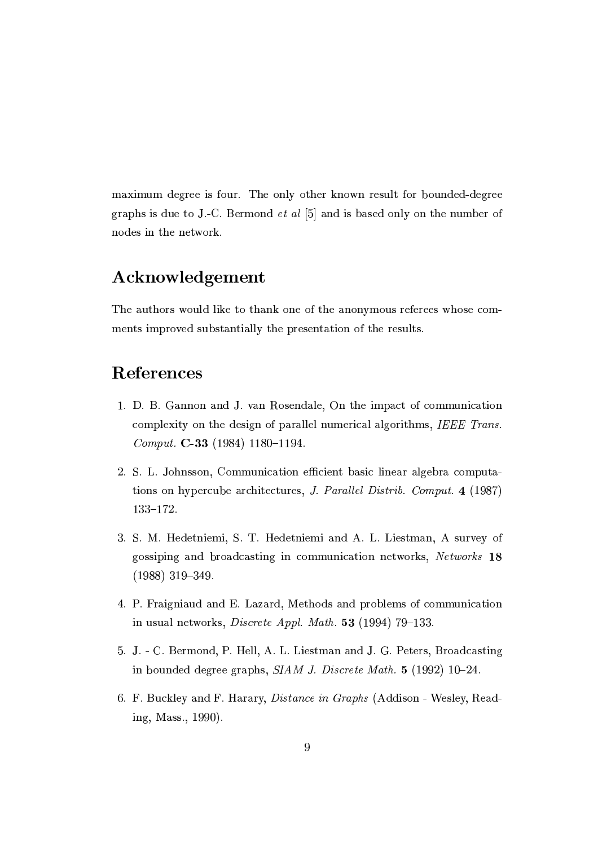maximum degree is four. The only other known result for bounded-degree graphs is due to J.-C. Bermond *et al* [5] and is based only on the number of nodes in the network.

# Acknowledgement

The authors would like to thank one of the anonymous referees whose comments improved substantially the presentation of the results.

# References

- 1. D. B. Gannon and J. van Rosendale, On the impact of communication complexity on the design of parallel numerical algorithms, IEEE Trans. Comput. C-33 (1984) 1180-1194.
- 2. S. L. Johnsson, Communication efficient basic linear algebra computations on hypercube architectures, J. Parallel Distrib. Comput. 4 (1987)  $133 - 172.$
- 3. S. M. Hedetniemi, S. T. Hedetniemi and A. L. Liestman, A survey of gossiping and broadcasting in communication networks, Networks 18  $(1988)$  319-349.
- 4. P. Fraigniaud and E. Lazard, Methods and problems of communication in usual networks, *Discrete Appl. Math.* 53 (1994) 79-133.
- 5. J. C. Bermond, P. Hell, A. L. Liestman and J. G. Peters, Broadcasting in bounded degree graphs, SIAM J. Discrete Math. 5 (1992) 10-24.
- 6. F. Buckley and F. Harary, *Distance in Graphs* (Addison Wesley, Reading, Mass., 1990).